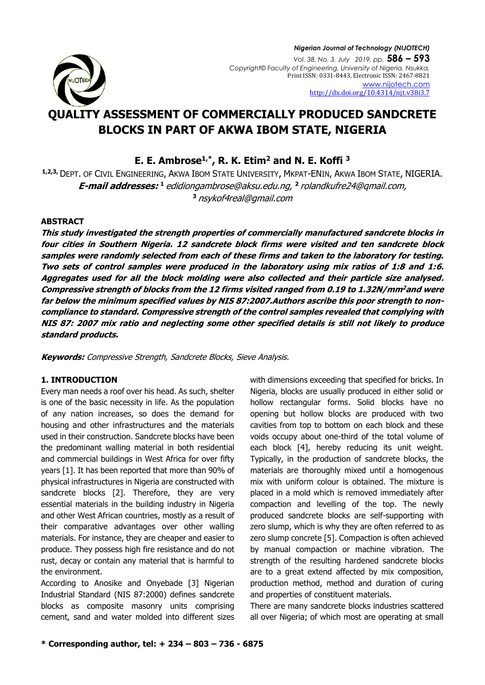

# **QUALITY ASSESSMENT OF COMMERCIALLY PRODUCED SANDCRETE BLOCKS IN PART OF AKWA IBOM STATE, NIGERIA**

**E. E. Ambrose1,\*, R. K. Etim<sup>2</sup> and N. E. Koffi <sup>3</sup>**

**1,2,3,** DEPT. OF CIVIL ENGINEERING, AKWA IBOM STATE UNIVERSITY, MKPAT-ENIN, AKWA IBOM STATE, NIGERIA. **E-mail addresses: <sup>1</sup>** [edidiongambrose@aksu.edu.ng,](mailto:edidiongambrose@aksu.edu.ng) **2** [rolandkufre24@qmail.com,](mailto:rolandkufre24@qmail.com) **<sup>3</sup>** nsykof4real@gmail.com

#### **ABSTRACT**

**This study investigated the strength properties of commercially manufactured sandcrete blocks in four cities in Southern Nigeria. 12 sandcrete block firms were visited and ten sandcrete block samples were randomly selected from each of these firms and taken to the laboratory for testing. Two sets of control samples were produced in the laboratory using mix ratios of 1:8 and 1:6. Aggregates used for all the block molding were also collected and their particle size analysed. Compressive strength of blocks from the 12 firms visited ranged from 0.19 to 1.32N/mm<sup>2</sup> and were far below the minimum specified values by NIS 87:2007.Authors ascribe this poor strength to noncompliance to standard. Compressive strength of the control samples revealed that complying with NIS 87: 2007 mix ratio and neglecting some other specified details is still not likely to produce standard products.**

**Keywords:** Compressive Strength, Sandcrete Blocks, Sieve Analysis.

## **1. INTRODUCTION**

Every man needs a roof over his head. As such, shelter is one of the basic necessity in life. As the population of any nation increases, so does the demand for housing and other infrastructures and the materials used in their construction. Sandcrete blocks have been the predominant walling material in both residential and commercial buildings in West Africa for over fifty years [1]. It has been reported that more than 90% of physical infrastructures in Nigeria are constructed with sandcrete blocks [2]. Therefore, they are very essential materials in the building industry in Nigeria and other West African countries, mostly as a result of their comparative advantages over other walling materials. For instance, they are cheaper and easier to produce. They possess high fire resistance and do not rust, decay or contain any material that is harmful to the environment.

According to Anosike and Onyebade [3] Nigerian Industrial Standard (NIS 87:2000) defines sandcrete blocks as composite masonry units comprising cement, sand and water molded into different sizes with dimensions exceeding that specified for bricks. In Nigeria, blocks are usually produced in either solid or hollow rectangular forms. Solid blocks have no opening but hollow blocks are produced with two cavities from top to bottom on each block and these voids occupy about one-third of the total volume of each block [4], hereby reducing its unit weight. Typically, in the production of sandcrete blocks, the materials are thoroughly mixed until a homogenous mix with uniform colour is obtained. The mixture is placed in a mold which is removed immediately after compaction and levelling of the top. The newly produced sandcrete blocks are self-supporting with zero slump, which is why they are often referred to as zero slump concrete [5]. Compaction is often achieved by manual compaction or machine vibration. The strength of the resulting hardened sandcrete blocks are to a great extend affected by mix composition, production method, method and duration of curing and properties of constituent materials.

There are many sandcrete blocks industries scattered all over Nigeria; of which most are operating at small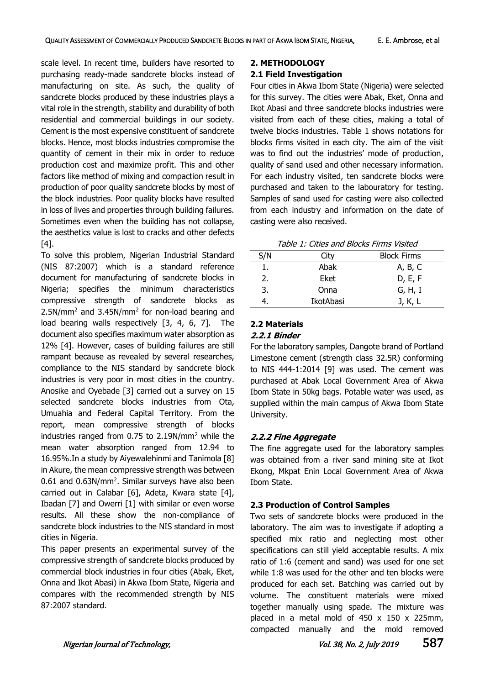scale level. In recent time, builders have resorted to purchasing ready-made sandcrete blocks instead of manufacturing on site. As such, the quality of sandcrete blocks produced by these industries plays a vital role in the strength, stability and durability of both residential and commercial buildings in our society. Cement is the most expensive constituent of sandcrete blocks. Hence, most blocks industries compromise the quantity of cement in their mix in order to reduce production cost and maximize profit. This and other factors like method of mixing and compaction result in production of poor quality sandcrete blocks by most of the block industries. Poor quality blocks have resulted in loss of lives and properties through building failures. Sometimes even when the building has not collapse, the aesthetics value is lost to cracks and other defects [4].

To solve this problem, Nigerian Industrial Standard (NIS 87:2007) which is a standard reference document for manufacturing of sandcrete blocks in Nigeria; specifies the minimum characteristics compressive strength of sandcrete blocks as  $2.5N/mm<sup>2</sup>$  and  $3.45N/mm<sup>2</sup>$  for non-load bearing and load bearing walls respectively [3, 4, 6, 7]. The document also specifies maximum water absorption as 12% [4]. However, cases of building failures are still rampant because as revealed by several researches, compliance to the NIS standard by sandcrete block industries is very poor in most cities in the country. Anosike and Oyebade [3] carried out a survey on 15 selected sandcrete blocks industries from Ota, Umuahia and Federal Capital Territory. From the report, mean compressive strength of blocks industries ranged from  $0.75$  to  $2.19N/mm^2$  while the mean water absorption ranged from 12.94 to 16.95%.In a study by Aiyewalehinmi and Tanimola [8] in Akure, the mean compressive strength was between 0.61 and 0.63N/mm<sup>2</sup>. Similar surveys have also been carried out in Calabar [6], Adeta, Kwara state [4], Ibadan [7] and Owerri [1] with similar or even worse results. All these show the non-compliance of sandcrete block industries to the NIS standard in most cities in Nigeria.

This paper presents an experimental survey of the compressive strength of sandcrete blocks produced by commercial block industries in four cities (Abak, Eket, Onna and Ikot Abasi) in Akwa Ibom State, Nigeria and compares with the recommended strength by NIS 87:2007 standard.

## **2. METHODOLOGY**

## **2.1 Field Investigation**

Four cities in Akwa Ibom State (Nigeria) were selected for this survey. The cities were Abak, Eket, Onna and Ikot Abasi and three sandcrete blocks industries were visited from each of these cities, making a total of twelve blocks industries. Table 1 shows notations for blocks firms visited in each city. The aim of the visit was to find out the industries' mode of production, quality of sand used and other necessary information. For each industry visited, ten sandcrete blocks were purchased and taken to the labouratory for testing. Samples of sand used for casting were also collected from each industry and information on the date of casting were also received.

| S/N | City      | <b>Block Firms</b> |
|-----|-----------|--------------------|
| 1.  | Abak      | A, B, C            |
| 2.  | Eket      | D, E, F            |
| 3.  | Onna      | G, H, I            |
|     | IkotAbasi | J, K, L            |

## **2.2 Materials**

#### **2.2.1 Binder**

For the laboratory samples, Dangote brand of Portland Limestone cement (strength class 32.5R) conforming to NIS 444-1:2014 [9] was used. The cement was purchased at Abak Local Government Area of Akwa Ibom State in 50kg bags. Potable water was used, as supplied within the main campus of Akwa Ibom State University.

## **2.2.2 Fine Aggregate**

The fine aggregate used for the laboratory samples was obtained from a river sand mining site at Ikot Ekong, Mkpat Enin Local Government Area of Akwa Ibom State.

## **2.3 Production of Control Samples**

Two sets of sandcrete blocks were produced in the laboratory. The aim was to investigate if adopting a specified mix ratio and neglecting most other specifications can still yield acceptable results. A mix ratio of 1:6 (cement and sand) was used for one set while 1:8 was used for the other and ten blocks were produced for each set. Batching was carried out by volume. The constituent materials were mixed together manually using spade. The mixture was placed in a metal mold of 450 x 150 x 225mm, compacted manually and the mold removed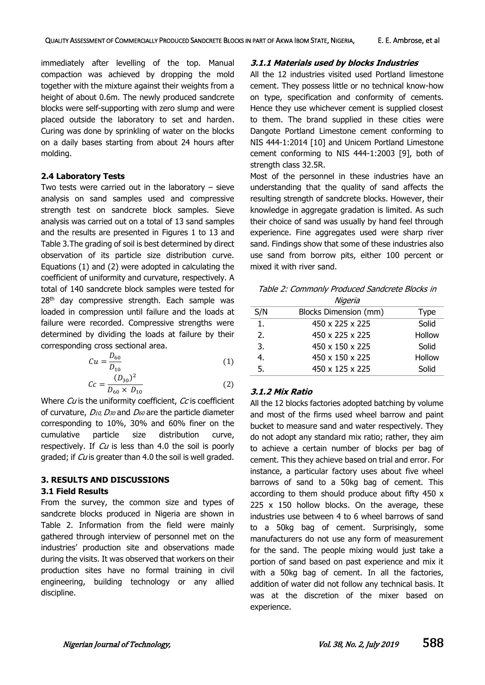immediately after levelling of the top. Manual compaction was achieved by dropping the mold together with the mixture against their weights from a height of about 0.6m. The newly produced sandcrete blocks were self-supporting with zero slump and were placed outside the laboratory to set and harden. Curing was done by sprinkling of water on the blocks on a daily bases starting from about 24 hours after molding.

## **2.4 Laboratory Tests**

Two tests were carried out in the laboratory  $-$  sieve analysis on sand samples used and compressive strength test on sandcrete block samples. Sieve analysis was carried out on a total of 13 sand samples and the results are presented in Figures 1 to 13 and Table 3.The grading of soil is best determined by direct observation of its particle size distribution curve. Equations (1) and (2) were adopted in calculating the coefficient of uniformity and curvature, respectively. A total of 140 sandcrete block samples were tested for  $28<sup>th</sup>$  day compressive strength. Each sample was loaded in compression until failure and the loads at failure were recorded. Compressive strengths were determined by dividing the loads at failure by their corresponding cross sectional area.

$$
Cu = \frac{D_{60}}{D_{10}}\tag{1}
$$

$$
Cc = \frac{(D_{30})^2}{D_{60} \times D_{10}}\tag{2}
$$

Where Cu is the uniformity coefficient, Cc is coefficient of curvature,  $D_{10}$ ,  $D_{30}$  and  $D_{60}$  are the particle diameter corresponding to 10%, 30% and 60% finer on the cumulative particle size distribution curve, respectively. If  $Cu$  is less than 4.0 the soil is poorly graded; if Cu is greater than 4.0 the soil is well graded.

## **3. RESULTS AND DISCUSSIONS**

#### **3.1 Field Results**

From the survey, the common size and types of sandcrete blocks produced in Nigeria are shown in Table 2. Information from the field were mainly gathered through interview of personnel met on the industries' production site and observations made during the visits. It was observed that workers on their production sites have no formal training in civil engineering, building technology or any allied discipline.

## **3.1.1 Materials used by blocks Industries**

All the 12 industries visited used Portland limestone cement. They possess little or no technical know-how on type, specification and conformity of cements. Hence they use whichever cement is supplied closest to them. The brand supplied in these cities were Dangote Portland Limestone cement conforming to NIS 444-1:2014 [10] and Unicem Portland Limestone cement conforming to NIS 444-1:2003 [9], both of strength class 32.5R.

Most of the personnel in these industries have an understanding that the quality of sand affects the resulting strength of sandcrete blocks. However, their knowledge in aggregate gradation is limited. As such their choice of sand was usually by hand feel through experience. Fine aggregates used were sharp river sand. Findings show that some of these industries also use sand from borrow pits, either 100 percent or mixed it with river sand.

Table 2: Commonly Produced Sandcrete Blocks in Nigeria

|     | <u>iviyci ia</u>            |             |
|-----|-----------------------------|-------------|
| S/N | Blocks Dimension (mm)       | <b>Type</b> |
| 1.  | $450 \times 225 \times 225$ | Solid       |
| 2.  | 450 x 225 x 225             | Hollow      |
| 3.  | 450 x 150 x 225             | Solid       |
| 4.  | 450 x 150 x 225             | Hollow      |
| 5.  | 450 x 125 x 225             | Solid       |

## **3.1.2 Mix Ratio**

All the 12 blocks factories adopted batching by volume and most of the firms used wheel barrow and paint bucket to measure sand and water respectively. They do not adopt any standard mix ratio; rather, they aim to achieve a certain number of blocks per bag of cement. This they achieve based on trial and error. For instance, a particular factory uses about five wheel barrows of sand to a 50kg bag of cement. This according to them should produce about fifty 450 x 225 x 150 hollow blocks. On the average, these industries use between 4 to 6 wheel barrows of sand to a 50kg bag of cement. Surprisingly, some manufacturers do not use any form of measurement for the sand. The people mixing would just take a portion of sand based on past experience and mix it with a 50kg bag of cement. In all the factories, addition of water did not follow any technical basis. It was at the discretion of the mixer based on experience.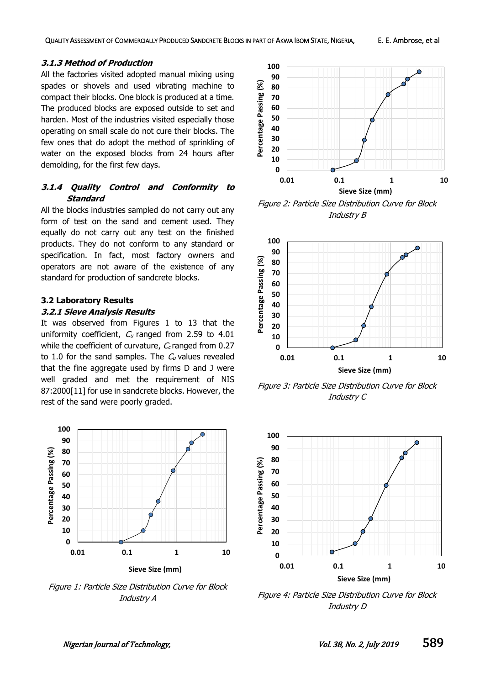#### **3.1.3 Method of Production**

All the factories visited adopted manual mixing using spades or shovels and used vibrating machine to compact their blocks. One block is produced at a time. The produced blocks are exposed outside to set and harden. Most of the industries visited especially those operating on small scale do not cure their blocks. The few ones that do adopt the method of sprinkling of water on the exposed blocks from 24 hours after demolding, for the first few days.

## **3.1.4 Quality Control and Conformity to Standard**

All the blocks industries sampled do not carry out any form of test on the sand and cement used. They equally do not carry out any test on the finished products. They do not conform to any standard or specification. In fact, most factory owners and operators are not aware of the existence of any standard for production of sandcrete blocks.

#### **3.2 Laboratory Results**

#### **3.2.1 Sieve Analysis Results**

It was observed from Figures 1 to 13 that the uniformity coefficient,  $C_u$  ranged from 2.59 to 4.01 while the coefficient of curvature,  $C_c$  ranged from 0.27 to 1.0 for the sand samples. The  $C_u$  values revealed that the fine aggregate used by firms D and J were well graded and met the requirement of NIS 87:2000[11] for use in sandcrete blocks. However, the rest of the sand were poorly graded.



Figure 1: Particle Size Distribution Curve for Block Industry A



Figure 2: Particle Size Distribution Curve for Block Industry B



Figure 3: Particle Size Distribution Curve for Block Industry C



Figure 4: Particle Size Distribution Curve for Block Industry D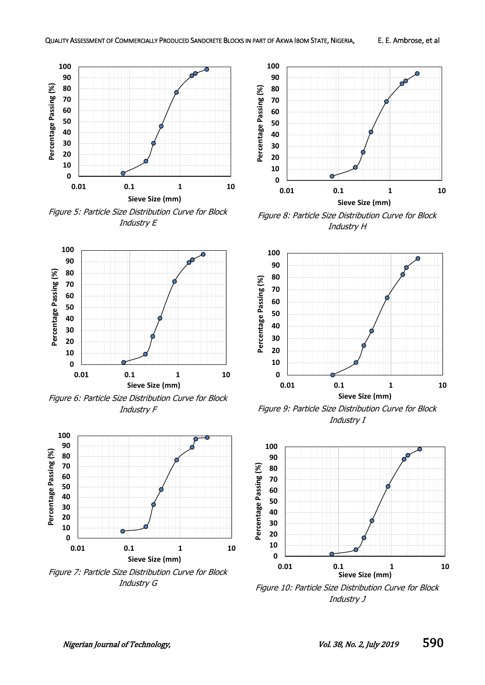

Figure 5: Particle Size Distribution Curve for Block Industry E



Figure 6: Particle Size Distribution Curve for Block Industry F



Figure 7: Particle Size Distribution Curve for Block Industry G



Figure 8: Particle Size Distribution Curve for Block Industry H



Figure 9: Particle Size Distribution Curve for Block Industry I



Figure 10: Particle Size Distribution Curve for Block Industry J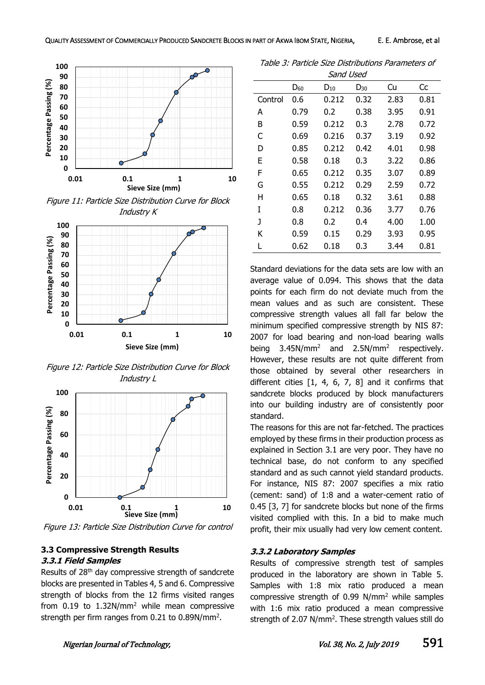

Figure 11: Particle Size Distribution Curve for Block Industry K



Figure 12: Particle Size Distribution Curve for Block Industry L



Figure 13: Particle Size Distribution Curve for control

#### **3.3 Compressive Strength Results 3.3.1 Field Samples**

Results of 28th day compressive strength of sandcrete blocks are presented in Tables 4, 5 and 6. Compressive strength of blocks from the 12 firms visited ranges from 0.19 to 1.32N/mm<sup>2</sup> while mean compressive strength per firm ranges from  $0.21$  to  $0.89$ N/mm<sup>2</sup>.

Table 3: Particle Size Distributions Parameters of Sand Used

| Janu USCU |          |          |          |      |      |  |
|-----------|----------|----------|----------|------|------|--|
|           | $D_{60}$ | $D_{10}$ | $D_{30}$ | Cu   | Сc   |  |
| Control   | 0.6      | 0.212    | 0.32     | 2.83 | 0.81 |  |
| А         | 0.79     | 0.2      | 0.38     | 3.95 | 0.91 |  |
| B         | 0.59     | 0.212    | 0.3      | 2.78 | 0.72 |  |
| C         | 0.69     | 0.216    | 0.37     | 3.19 | 0.92 |  |
| D         | 0.85     | 0.212    | 0.42     | 4.01 | 0.98 |  |
| Е         | 0.58     | 0.18     | 0.3      | 3.22 | 0.86 |  |
| F         | 0.65     | 0.212    | 0.35     | 3.07 | 0.89 |  |
| G         | 0.55     | 0.212    | 0.29     | 2.59 | 0.72 |  |
| н         | 0.65     | 0.18     | 0.32     | 3.61 | 0.88 |  |
| T         | 0.8      | 0.212    | 0.36     | 3.77 | 0.76 |  |
| J         | 0.8      | 0.2      | 0.4      | 4.00 | 1.00 |  |
| ĸ         | 0.59     | 0.15     | 0.29     | 3.93 | 0.95 |  |
| L         | 0.62     | 0.18     | 0.3      | 3.44 | 0.81 |  |

Standard deviations for the data sets are low with an average value of 0.094. This shows that the data points for each firm do not deviate much from the mean values and as such are consistent. These compressive strength values all fall far below the minimum specified compressive strength by NIS 87: 2007 for load bearing and non-load bearing walls being  $3.45N/mm^2$  and  $2.5N/mm^2$ respectively. However, these results are not quite different from those obtained by several other researchers in different cities [1, 4, 6, 7, 8] and it confirms that sandcrete blocks produced by block manufacturers into our building industry are of consistently poor standard.

The reasons for this are not far-fetched. The practices employed by these firms in their production process as explained in Section 3.1 are very poor. They have no technical base, do not conform to any specified standard and as such cannot yield standard products. For instance, NIS 87: 2007 specifies a mix ratio (cement: sand) of 1:8 and a water-cement ratio of 0.45 [3, 7] for sandcrete blocks but none of the firms visited complied with this. In a bid to make much profit, their mix usually had very low cement content.

#### **3.3.2 Laboratory Samples**

Results of compressive strength test of samples produced in the laboratory are shown in Table 5. Samples with 1:8 mix ratio produced a mean compressive strength of 0.99 N/mm<sup>2</sup> while samples with 1:6 mix ratio produced a mean compressive strength of 2.07  $N/mm^2$ . These strength values still do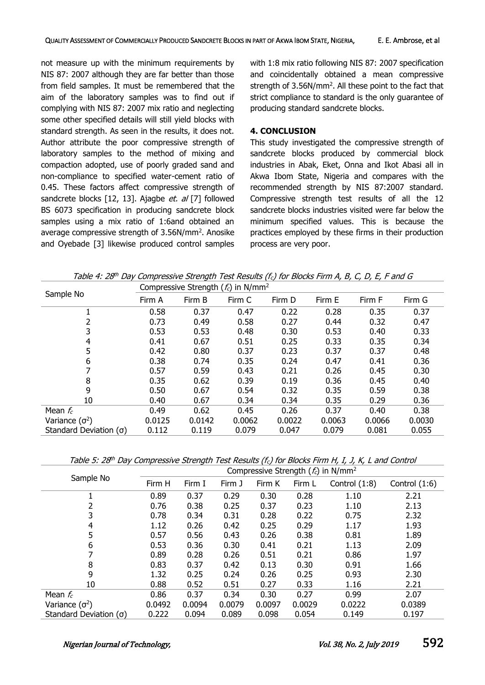not measure up with the minimum requirements by NIS 87: 2007 although they are far better than those from field samples. It must be remembered that the aim of the laboratory samples was to find out if complying with NIS 87: 2007 mix ratio and neglecting some other specified details will still yield blocks with standard strength. As seen in the results, it does not. Author attribute the poor compressive strength of laboratory samples to the method of mixing and compaction adopted, use of poorly graded sand and non-compliance to specified water-cement ratio of 0.45. These factors affect compressive strength of sandcrete blocks [12, 13]. Ajagbe et. al [7] followed BS 6073 specification in producing sandcrete block samples using a mix ratio of 1:6and obtained an average compressive strength of 3.56N/mm<sup>2</sup>. Anosike and Oyebade [3] likewise produced control samples

with 1:8 mix ratio following NIS 87: 2007 specification and coincidentally obtained a mean compressive strength of  $3.56N/mm^2$ . All these point to the fact that strict compliance to standard is the only guarantee of producing standard sandcrete blocks.

#### **4. CONCLUSION**

This study investigated the compressive strength of sandcrete blocks produced by commercial block industries in Abak, Eket, Onna and Ikot Abasi all in Akwa Ibom State, Nigeria and compares with the recommended strength by NIS 87:2007 standard. Compressive strength test results of all the 12 sandcrete blocks industries visited were far below the minimum specified values. This is because the practices employed by these firms in their production process are very poor.

| Table 4: 28 <sup>th</sup> Day Compressive Strength Test Results (f <sub>c</sub> ) for Blocks Firm A, B, C, D, E, F and G |  |  |
|--------------------------------------------------------------------------------------------------------------------------|--|--|
|--------------------------------------------------------------------------------------------------------------------------|--|--|

|                               | Compressive Strength ( $f_c$ ) in N/mm <sup>2</sup> |        |        |        |        |        |        |  |
|-------------------------------|-----------------------------------------------------|--------|--------|--------|--------|--------|--------|--|
| Sample No                     | Firm A                                              | Firm B | Firm C | Firm D | Firm E | Firm F | Firm G |  |
|                               | 0.58                                                | 0.37   | 0.47   | 0.22   | 0.28   | 0.35   | 0.37   |  |
| 2                             | 0.73                                                | 0.49   | 0.58   | 0.27   | 0.44   | 0.32   | 0.47   |  |
| 3                             | 0.53                                                | 0.53   | 0.48   | 0.30   | 0.53   | 0.40   | 0.33   |  |
| 4                             | 0.41                                                | 0.67   | 0.51   | 0.25   | 0.33   | 0.35   | 0.34   |  |
| 5                             | 0.42                                                | 0.80   | 0.37   | 0.23   | 0.37   | 0.37   | 0.48   |  |
| 6                             | 0.38                                                | 0.74   | 0.35   | 0.24   | 0.47   | 0.41   | 0.36   |  |
| 7                             | 0.57                                                | 0.59   | 0.43   | 0.21   | 0.26   | 0.45   | 0.30   |  |
| 8                             | 0.35                                                | 0.62   | 0.39   | 0.19   | 0.36   | 0.45   | 0.40   |  |
| 9                             | 0.50                                                | 0.67   | 0.54   | 0.32   | 0.35   | 0.59   | 0.38   |  |
| 10                            | 0.40                                                | 0.67   | 0.34   | 0.34   | 0.35   | 0.29   | 0.36   |  |
| Mean $f_c$                    | 0.49                                                | 0.62   | 0.45   | 0.26   | 0.37   | 0.40   | 0.38   |  |
| Variance $(\sigma^2)$         | 0.0125                                              | 0.0142 | 0.0062 | 0.0022 | 0.0063 | 0.0066 | 0.0030 |  |
| Standard Deviation $(\sigma)$ | 0.112                                               | 0.119  | 0.079  | 0.047  | 0.079  | 0.081  | 0.055  |  |

Table 5: 28<sup>th</sup> Day Compressive Strength Test Results (f<sub>c</sub>) for Blocks Firm H, I, J, K, L and Control

|                               | Compressive Strength ( $f_c$ ) in N/mm <sup>2</sup> |        |        |        |        |                 |                 |  |
|-------------------------------|-----------------------------------------------------|--------|--------|--------|--------|-----------------|-----------------|--|
| Sample No                     | Firm H                                              | Firm I | Firm J | Firm K | Firm L | Control $(1:8)$ | Control $(1:6)$ |  |
|                               | 0.89                                                | 0.37   | 0.29   | 0.30   | 0.28   | 1.10            | 2.21            |  |
| 2                             | 0.76                                                | 0.38   | 0.25   | 0.37   | 0.23   | 1.10            | 2.13            |  |
| 3                             | 0.78                                                | 0.34   | 0.31   | 0.28   | 0.22   | 0.75            | 2.32            |  |
| 4                             | 1.12                                                | 0.26   | 0.42   | 0.25   | 0.29   | 1.17            | 1.93            |  |
| 5                             | 0.57                                                | 0.56   | 0.43   | 0.26   | 0.38   | 0.81            | 1.89            |  |
| 6                             | 0.53                                                | 0.36   | 0.30   | 0.41   | 0.21   | 1.13            | 2.09            |  |
|                               | 0.89                                                | 0.28   | 0.26   | 0.51   | 0.21   | 0.86            | 1.97            |  |
| 8                             | 0.83                                                | 0.37   | 0.42   | 0.13   | 0.30   | 0.91            | 1.66            |  |
| 9                             | 1.32                                                | 0.25   | 0.24   | 0.26   | 0.25   | 0.93            | 2.30            |  |
| 10                            | 0.88                                                | 0.52   | 0.51   | 0.27   | 0.33   | 1.16            | 2.21            |  |
| Mean $f_c$                    | 0.86                                                | 0.37   | 0.34   | 0.30   | 0.27   | 0.99            | 2.07            |  |
| Variance $(\sigma^2)$         | 0.0492                                              | 0.0094 | 0.0079 | 0.0097 | 0.0029 | 0.0222          | 0.0389          |  |
| Standard Deviation $(\sigma)$ | 0.222                                               | 0.094  | 0.089  | 0.098  | 0.054  | 0.149           | 0.197           |  |